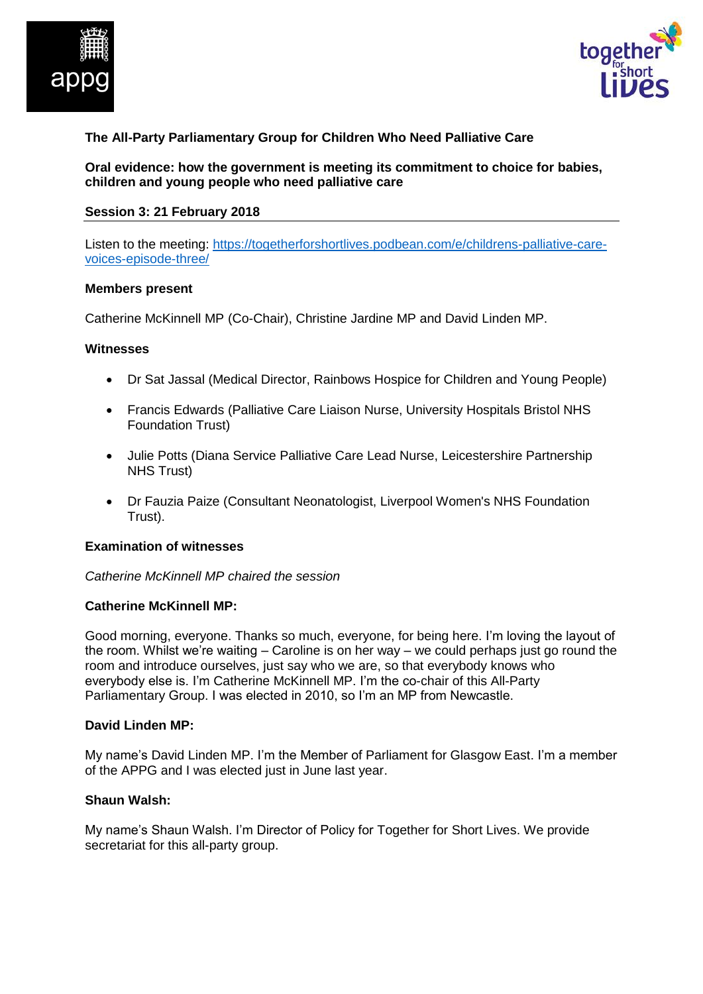



# **The All-Party Parliamentary Group for Children Who Need Palliative Care**

**Oral evidence: how the government is meeting its commitment to choice for babies, children and young people who need palliative care**

#### **Session 3: 21 February 2018**

Listen to the meeting: [https://togetherforshortlives.podbean.com/e/childrens-palliative-care](https://togetherforshortlives.podbean.com/e/childrens-palliative-care-voices-episode-three/)[voices-episode-three/](https://togetherforshortlives.podbean.com/e/childrens-palliative-care-voices-episode-three/)

#### **Members present**

Catherine McKinnell MP (Co-Chair), Christine Jardine MP and David Linden MP.

#### **Witnesses**

- Dr Sat Jassal (Medical Director, Rainbows Hospice for Children and Young People)
- Francis Edwards (Palliative Care Liaison Nurse, University Hospitals Bristol NHS Foundation Trust)
- Julie Potts (Diana Service Palliative Care Lead Nurse, Leicestershire Partnership NHS Trust)
- Dr Fauzia Paize (Consultant Neonatologist, Liverpool Women's NHS Foundation Trust).

#### **Examination of witnesses**

*Catherine McKinnell MP chaired the session*

#### **Catherine McKinnell MP:**

Good morning, everyone. Thanks so much, everyone, for being here. I'm loving the layout of the room. Whilst we're waiting – Caroline is on her way – we could perhaps just go round the room and introduce ourselves, just say who we are, so that everybody knows who everybody else is. I'm Catherine McKinnell MP. I'm the co-chair of this All-Party Parliamentary Group. I was elected in 2010, so I'm an MP from Newcastle.

#### **David Linden MP:**

My name's David Linden MP. I'm the Member of Parliament for Glasgow East. I'm a member of the APPG and I was elected just in June last year.

## **Shaun Walsh:**

My name's Shaun Walsh. I'm Director of Policy for Together for Short Lives. We provide secretariat for this all-party group.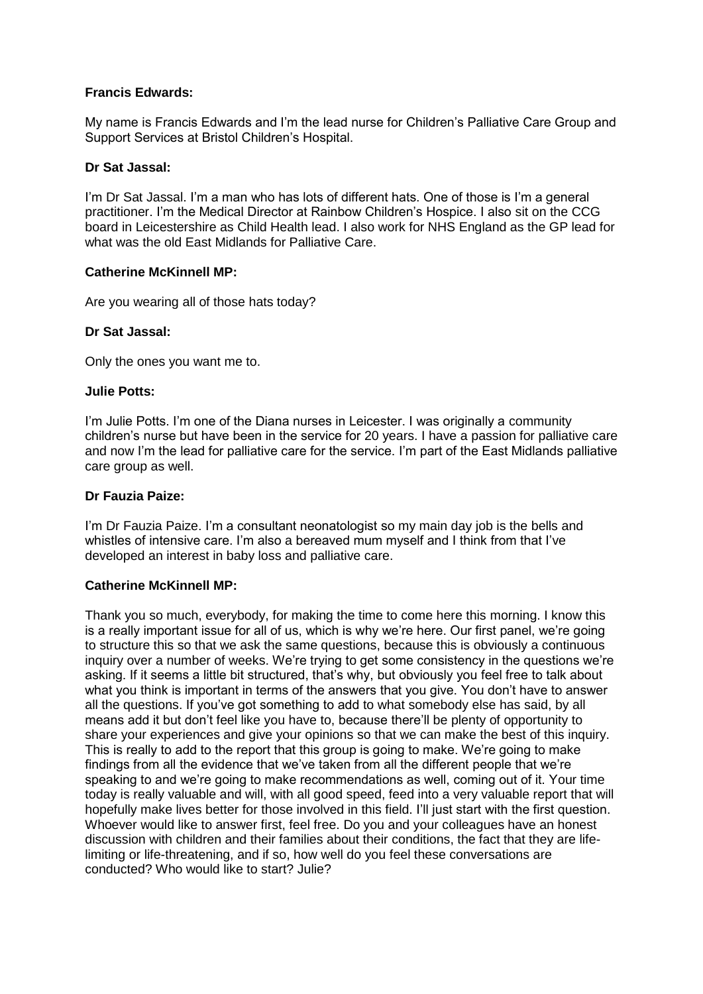## **Francis Edwards:**

My name is Francis Edwards and I'm the lead nurse for Children's Palliative Care Group and Support Services at Bristol Children's Hospital.

### **Dr Sat Jassal:**

I'm Dr Sat Jassal. I'm a man who has lots of different hats. One of those is I'm a general practitioner. I'm the Medical Director at Rainbow Children's Hospice. I also sit on the CCG board in Leicestershire as Child Health lead. I also work for NHS England as the GP lead for what was the old East Midlands for Palliative Care.

### **Catherine McKinnell MP:**

Are you wearing all of those hats today?

### **Dr Sat Jassal:**

Only the ones you want me to.

### **Julie Potts:**

I'm Julie Potts. I'm one of the Diana nurses in Leicester. I was originally a community children's nurse but have been in the service for 20 years. I have a passion for palliative care and now I'm the lead for palliative care for the service. I'm part of the East Midlands palliative care group as well.

### **Dr Fauzia Paize:**

I'm Dr Fauzia Paize. I'm a consultant neonatologist so my main day job is the bells and whistles of intensive care. I'm also a bereaved mum myself and I think from that I've developed an interest in baby loss and palliative care.

## **Catherine McKinnell MP:**

Thank you so much, everybody, for making the time to come here this morning. I know this is a really important issue for all of us, which is why we're here. Our first panel, we're going to structure this so that we ask the same questions, because this is obviously a continuous inquiry over a number of weeks. We're trying to get some consistency in the questions we're asking. If it seems a little bit structured, that's why, but obviously you feel free to talk about what you think is important in terms of the answers that you give. You don't have to answer all the questions. If you've got something to add to what somebody else has said, by all means add it but don't feel like you have to, because there'll be plenty of opportunity to share your experiences and give your opinions so that we can make the best of this inquiry. This is really to add to the report that this group is going to make. We're going to make findings from all the evidence that we've taken from all the different people that we're speaking to and we're going to make recommendations as well, coming out of it. Your time today is really valuable and will, with all good speed, feed into a very valuable report that will hopefully make lives better for those involved in this field. I'll just start with the first question. Whoever would like to answer first, feel free. Do you and your colleagues have an honest discussion with children and their families about their conditions, the fact that they are lifelimiting or life-threatening, and if so, how well do you feel these conversations are conducted? Who would like to start? Julie?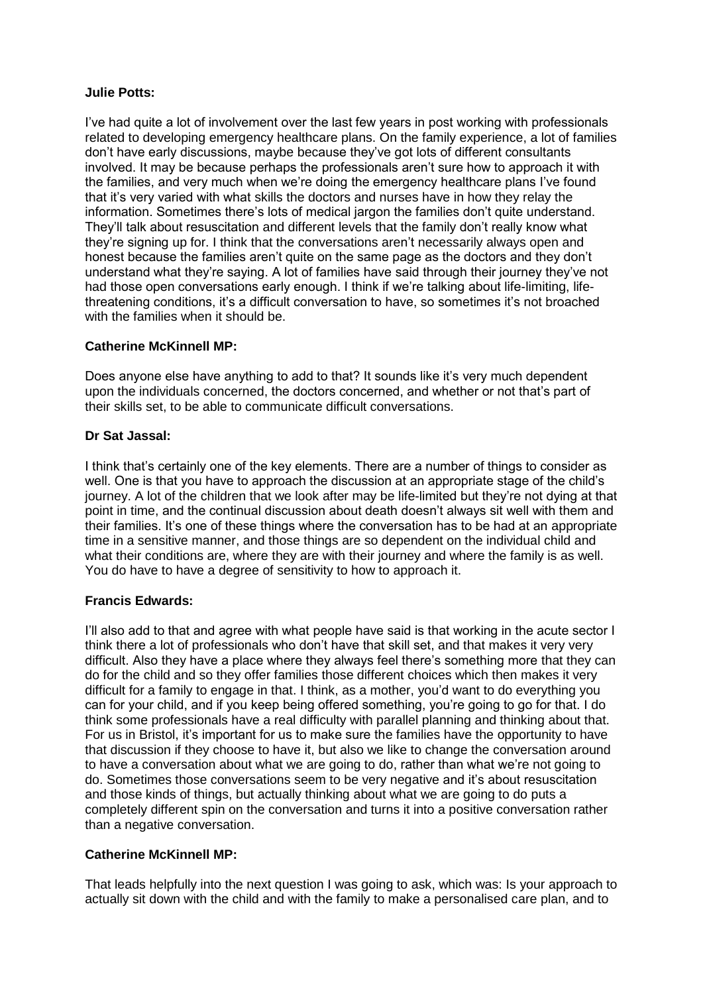### **Julie Potts:**

I've had quite a lot of involvement over the last few years in post working with professionals related to developing emergency healthcare plans. On the family experience, a lot of families don't have early discussions, maybe because they've got lots of different consultants involved. It may be because perhaps the professionals aren't sure how to approach it with the families, and very much when we're doing the emergency healthcare plans I've found that it's very varied with what skills the doctors and nurses have in how they relay the information. Sometimes there's lots of medical jargon the families don't quite understand. They'll talk about resuscitation and different levels that the family don't really know what they're signing up for. I think that the conversations aren't necessarily always open and honest because the families aren't quite on the same page as the doctors and they don't understand what they're saying. A lot of families have said through their journey they've not had those open conversations early enough. I think if we're talking about life-limiting, lifethreatening conditions, it's a difficult conversation to have, so sometimes it's not broached with the families when it should be.

## **Catherine McKinnell MP:**

Does anyone else have anything to add to that? It sounds like it's very much dependent upon the individuals concerned, the doctors concerned, and whether or not that's part of their skills set, to be able to communicate difficult conversations.

### **Dr Sat Jassal:**

I think that's certainly one of the key elements. There are a number of things to consider as well. One is that you have to approach the discussion at an appropriate stage of the child's journey. A lot of the children that we look after may be life-limited but they're not dying at that point in time, and the continual discussion about death doesn't always sit well with them and their families. It's one of these things where the conversation has to be had at an appropriate time in a sensitive manner, and those things are so dependent on the individual child and what their conditions are, where they are with their journey and where the family is as well. You do have to have a degree of sensitivity to how to approach it.

## **Francis Edwards:**

I'll also add to that and agree with what people have said is that working in the acute sector I think there a lot of professionals who don't have that skill set, and that makes it very very difficult. Also they have a place where they always feel there's something more that they can do for the child and so they offer families those different choices which then makes it very difficult for a family to engage in that. I think, as a mother, you'd want to do everything you can for your child, and if you keep being offered something, you're going to go for that. I do think some professionals have a real difficulty with parallel planning and thinking about that. For us in Bristol, it's important for us to make sure the families have the opportunity to have that discussion if they choose to have it, but also we like to change the conversation around to have a conversation about what we are going to do, rather than what we're not going to do. Sometimes those conversations seem to be very negative and it's about resuscitation and those kinds of things, but actually thinking about what we are going to do puts a completely different spin on the conversation and turns it into a positive conversation rather than a negative conversation.

## **Catherine McKinnell MP:**

That leads helpfully into the next question I was going to ask, which was: Is your approach to actually sit down with the child and with the family to make a personalised care plan, and to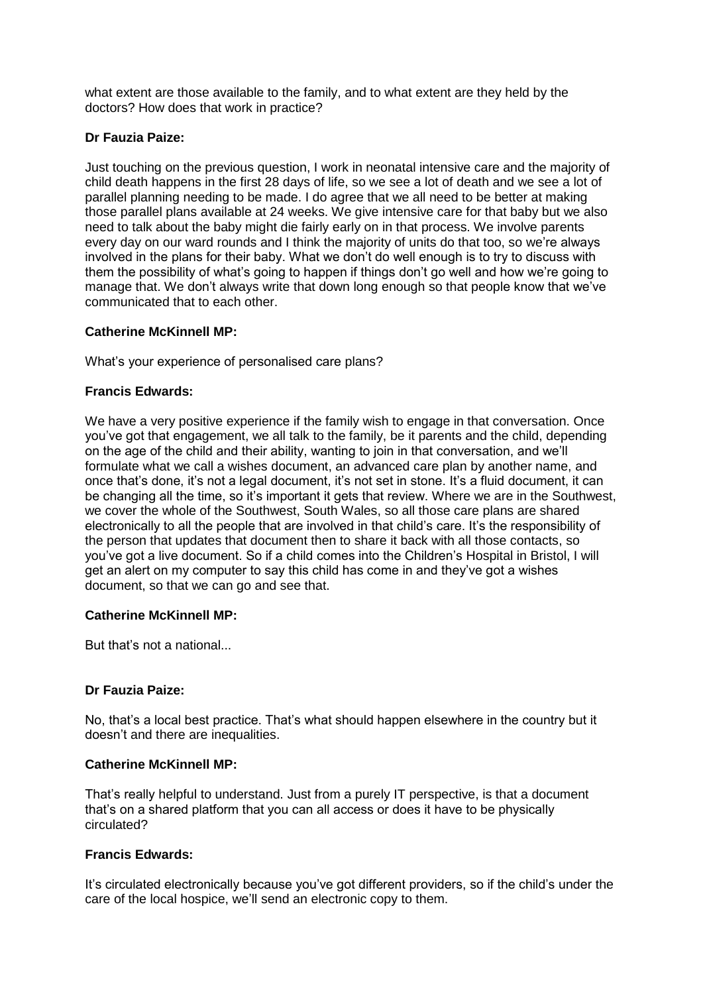what extent are those available to the family, and to what extent are they held by the doctors? How does that work in practice?

# **Dr Fauzia Paize:**

Just touching on the previous question, I work in neonatal intensive care and the majority of child death happens in the first 28 days of life, so we see a lot of death and we see a lot of parallel planning needing to be made. I do agree that we all need to be better at making those parallel plans available at 24 weeks. We give intensive care for that baby but we also need to talk about the baby might die fairly early on in that process. We involve parents every day on our ward rounds and I think the majority of units do that too, so we're always involved in the plans for their baby. What we don't do well enough is to try to discuss with them the possibility of what's going to happen if things don't go well and how we're going to manage that. We don't always write that down long enough so that people know that we've communicated that to each other.

## **Catherine McKinnell MP:**

What's your experience of personalised care plans?

# **Francis Edwards:**

We have a very positive experience if the family wish to engage in that conversation. Once you've got that engagement, we all talk to the family, be it parents and the child, depending on the age of the child and their ability, wanting to join in that conversation, and we'll formulate what we call a wishes document, an advanced care plan by another name, and once that's done, it's not a legal document, it's not set in stone. It's a fluid document, it can be changing all the time, so it's important it gets that review. Where we are in the Southwest, we cover the whole of the Southwest, South Wales, so all those care plans are shared electronically to all the people that are involved in that child's care. It's the responsibility of the person that updates that document then to share it back with all those contacts, so you've got a live document. So if a child comes into the Children's Hospital in Bristol, I will get an alert on my computer to say this child has come in and they've got a wishes document, so that we can go and see that.

## **Catherine McKinnell MP:**

But that's not a national...

## **Dr Fauzia Paize:**

No, that's a local best practice. That's what should happen elsewhere in the country but it doesn't and there are inequalities.

## **Catherine McKinnell MP:**

That's really helpful to understand. Just from a purely IT perspective, is that a document that's on a shared platform that you can all access or does it have to be physically circulated?

# **Francis Edwards:**

It's circulated electronically because you've got different providers, so if the child's under the care of the local hospice, we'll send an electronic copy to them.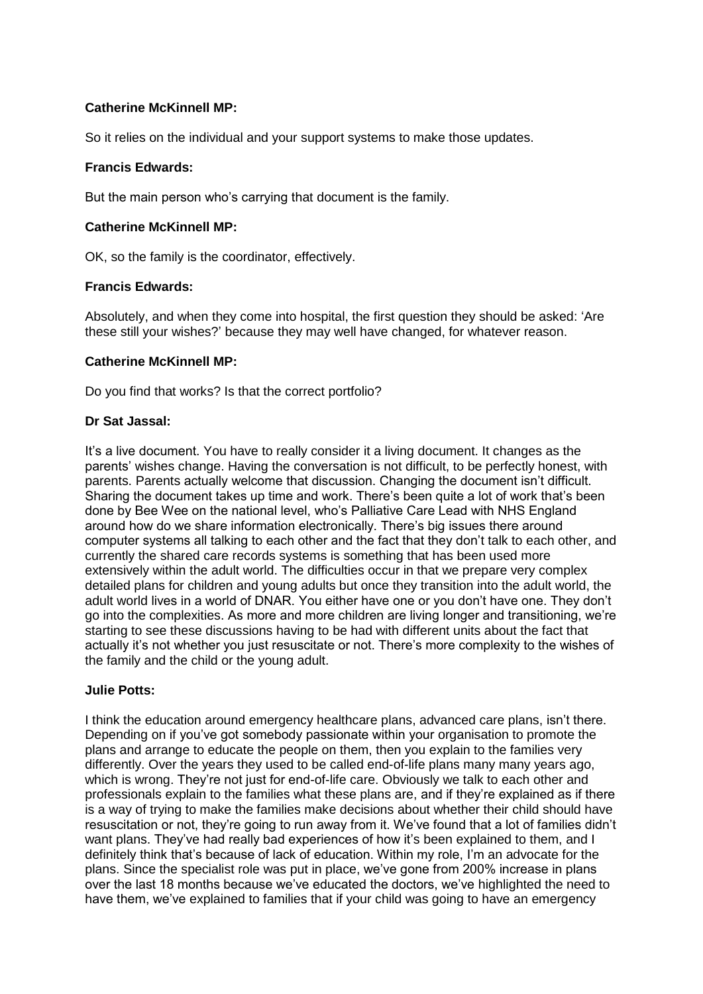So it relies on the individual and your support systems to make those updates.

### **Francis Edwards:**

But the main person who's carrying that document is the family.

### **Catherine McKinnell MP:**

OK, so the family is the coordinator, effectively.

### **Francis Edwards:**

Absolutely, and when they come into hospital, the first question they should be asked: 'Are these still your wishes?' because they may well have changed, for whatever reason.

### **Catherine McKinnell MP:**

Do you find that works? Is that the correct portfolio?

### **Dr Sat Jassal:**

It's a live document. You have to really consider it a living document. It changes as the parents' wishes change. Having the conversation is not difficult, to be perfectly honest, with parents. Parents actually welcome that discussion. Changing the document isn't difficult. Sharing the document takes up time and work. There's been quite a lot of work that's been done by Bee Wee on the national level, who's Palliative Care Lead with NHS England around how do we share information electronically. There's big issues there around computer systems all talking to each other and the fact that they don't talk to each other, and currently the shared care records systems is something that has been used more extensively within the adult world. The difficulties occur in that we prepare very complex detailed plans for children and young adults but once they transition into the adult world, the adult world lives in a world of DNAR. You either have one or you don't have one. They don't go into the complexities. As more and more children are living longer and transitioning, we're starting to see these discussions having to be had with different units about the fact that actually it's not whether you just resuscitate or not. There's more complexity to the wishes of the family and the child or the young adult.

### **Julie Potts:**

I think the education around emergency healthcare plans, advanced care plans, isn't there. Depending on if you've got somebody passionate within your organisation to promote the plans and arrange to educate the people on them, then you explain to the families very differently. Over the years they used to be called end-of-life plans many many years ago, which is wrong. They're not just for end-of-life care. Obviously we talk to each other and professionals explain to the families what these plans are, and if they're explained as if there is a way of trying to make the families make decisions about whether their child should have resuscitation or not, they're going to run away from it. We've found that a lot of families didn't want plans. They've had really bad experiences of how it's been explained to them, and I definitely think that's because of lack of education. Within my role, I'm an advocate for the plans. Since the specialist role was put in place, we've gone from 200% increase in plans over the last 18 months because we've educated the doctors, we've highlighted the need to have them, we've explained to families that if your child was going to have an emergency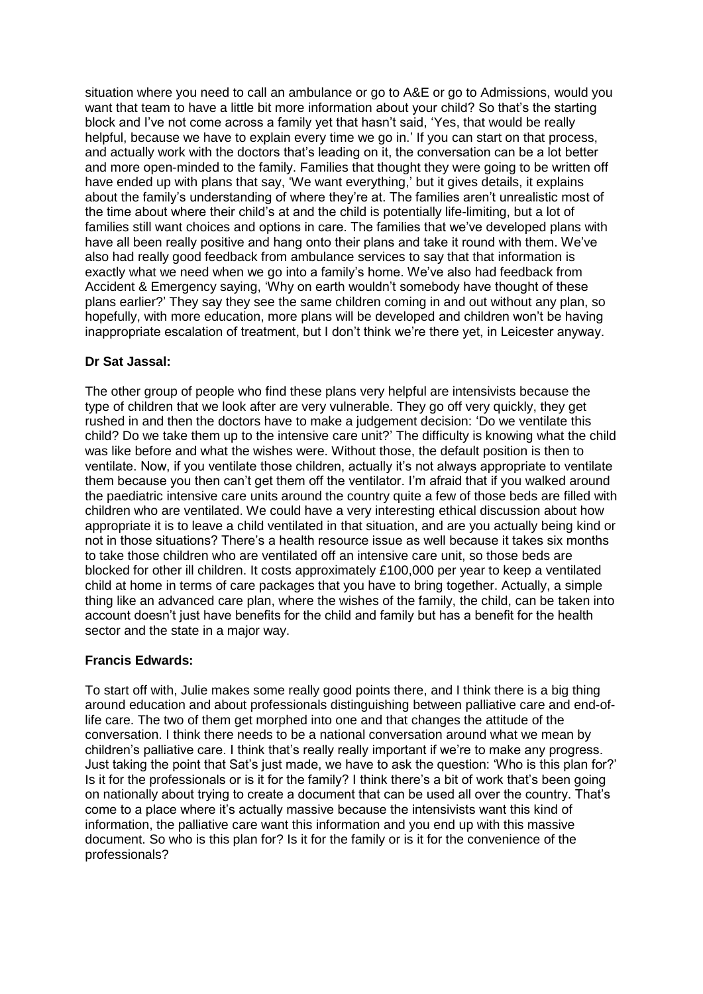situation where you need to call an ambulance or go to A&E or go to Admissions, would you want that team to have a little bit more information about your child? So that's the starting block and I've not come across a family yet that hasn't said, 'Yes, that would be really helpful, because we have to explain every time we go in.' If you can start on that process, and actually work with the doctors that's leading on it, the conversation can be a lot better and more open-minded to the family. Families that thought they were going to be written off have ended up with plans that say, 'We want everything,' but it gives details, it explains about the family's understanding of where they're at. The families aren't unrealistic most of the time about where their child's at and the child is potentially life-limiting, but a lot of families still want choices and options in care. The families that we've developed plans with have all been really positive and hang onto their plans and take it round with them. We've also had really good feedback from ambulance services to say that that information is exactly what we need when we go into a family's home. We've also had feedback from Accident & Emergency saying, 'Why on earth wouldn't somebody have thought of these plans earlier?' They say they see the same children coming in and out without any plan, so hopefully, with more education, more plans will be developed and children won't be having inappropriate escalation of treatment, but I don't think we're there yet, in Leicester anyway.

## **Dr Sat Jassal:**

The other group of people who find these plans very helpful are intensivists because the type of children that we look after are very vulnerable. They go off very quickly, they get rushed in and then the doctors have to make a judgement decision: 'Do we ventilate this child? Do we take them up to the intensive care unit?' The difficulty is knowing what the child was like before and what the wishes were. Without those, the default position is then to ventilate. Now, if you ventilate those children, actually it's not always appropriate to ventilate them because you then can't get them off the ventilator. I'm afraid that if you walked around the paediatric intensive care units around the country quite a few of those beds are filled with children who are ventilated. We could have a very interesting ethical discussion about how appropriate it is to leave a child ventilated in that situation, and are you actually being kind or not in those situations? There's a health resource issue as well because it takes six months to take those children who are ventilated off an intensive care unit, so those beds are blocked for other ill children. It costs approximately £100,000 per year to keep a ventilated child at home in terms of care packages that you have to bring together. Actually, a simple thing like an advanced care plan, where the wishes of the family, the child, can be taken into account doesn't just have benefits for the child and family but has a benefit for the health sector and the state in a major way.

## **Francis Edwards:**

To start off with, Julie makes some really good points there, and I think there is a big thing around education and about professionals distinguishing between palliative care and end-oflife care. The two of them get morphed into one and that changes the attitude of the conversation. I think there needs to be a national conversation around what we mean by children's palliative care. I think that's really really important if we're to make any progress. Just taking the point that Sat's just made, we have to ask the question: 'Who is this plan for?' Is it for the professionals or is it for the family? I think there's a bit of work that's been going on nationally about trying to create a document that can be used all over the country. That's come to a place where it's actually massive because the intensivists want this kind of information, the palliative care want this information and you end up with this massive document. So who is this plan for? Is it for the family or is it for the convenience of the professionals?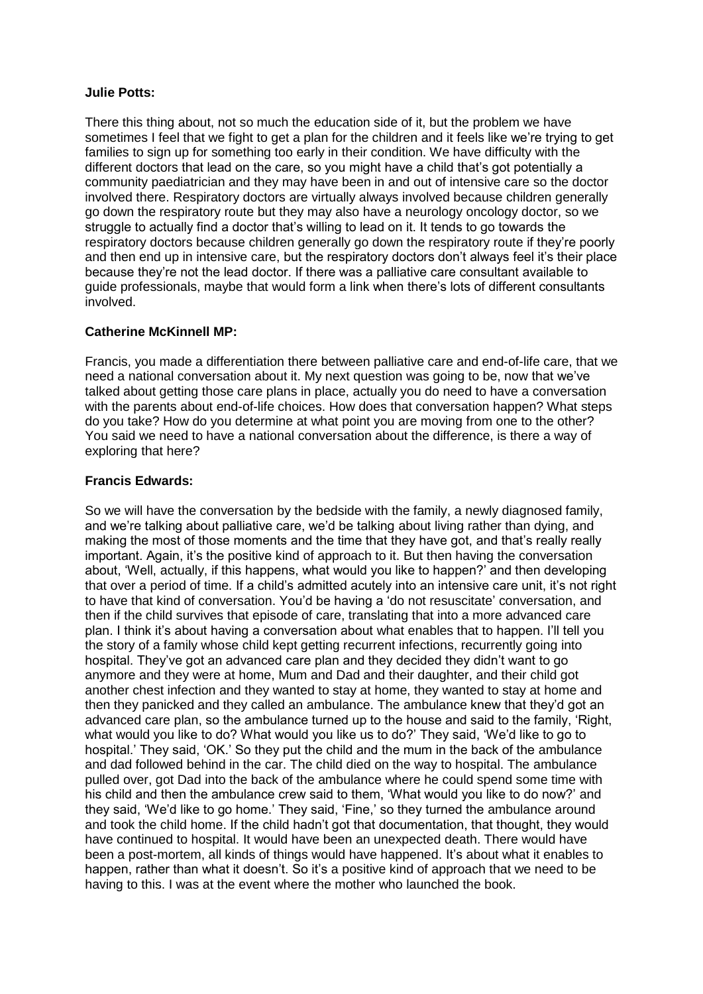### **Julie Potts:**

There this thing about, not so much the education side of it, but the problem we have sometimes I feel that we fight to get a plan for the children and it feels like we're trying to get families to sign up for something too early in their condition. We have difficulty with the different doctors that lead on the care, so you might have a child that's got potentially a community paediatrician and they may have been in and out of intensive care so the doctor involved there. Respiratory doctors are virtually always involved because children generally go down the respiratory route but they may also have a neurology oncology doctor, so we struggle to actually find a doctor that's willing to lead on it. It tends to go towards the respiratory doctors because children generally go down the respiratory route if they're poorly and then end up in intensive care, but the respiratory doctors don't always feel it's their place because they're not the lead doctor. If there was a palliative care consultant available to guide professionals, maybe that would form a link when there's lots of different consultants involved.

## **Catherine McKinnell MP:**

Francis, you made a differentiation there between palliative care and end-of-life care, that we need a national conversation about it. My next question was going to be, now that we've talked about getting those care plans in place, actually you do need to have a conversation with the parents about end-of-life choices. How does that conversation happen? What steps do you take? How do you determine at what point you are moving from one to the other? You said we need to have a national conversation about the difference, is there a way of exploring that here?

### **Francis Edwards:**

So we will have the conversation by the bedside with the family, a newly diagnosed family, and we're talking about palliative care, we'd be talking about living rather than dying, and making the most of those moments and the time that they have got, and that's really really important. Again, it's the positive kind of approach to it. But then having the conversation about, 'Well, actually, if this happens, what would you like to happen?' and then developing that over a period of time. If a child's admitted acutely into an intensive care unit, it's not right to have that kind of conversation. You'd be having a 'do not resuscitate' conversation, and then if the child survives that episode of care, translating that into a more advanced care plan. I think it's about having a conversation about what enables that to happen. I'll tell you the story of a family whose child kept getting recurrent infections, recurrently going into hospital. They've got an advanced care plan and they decided they didn't want to go anymore and they were at home, Mum and Dad and their daughter, and their child got another chest infection and they wanted to stay at home, they wanted to stay at home and then they panicked and they called an ambulance. The ambulance knew that they'd got an advanced care plan, so the ambulance turned up to the house and said to the family, 'Right, what would you like to do? What would you like us to do?' They said, 'We'd like to go to hospital.' They said, 'OK.' So they put the child and the mum in the back of the ambulance and dad followed behind in the car. The child died on the way to hospital. The ambulance pulled over, got Dad into the back of the ambulance where he could spend some time with his child and then the ambulance crew said to them, 'What would you like to do now?' and they said, 'We'd like to go home.' They said, 'Fine,' so they turned the ambulance around and took the child home. If the child hadn't got that documentation, that thought, they would have continued to hospital. It would have been an unexpected death. There would have been a post-mortem, all kinds of things would have happened. It's about what it enables to happen, rather than what it doesn't. So it's a positive kind of approach that we need to be having to this. I was at the event where the mother who launched the book.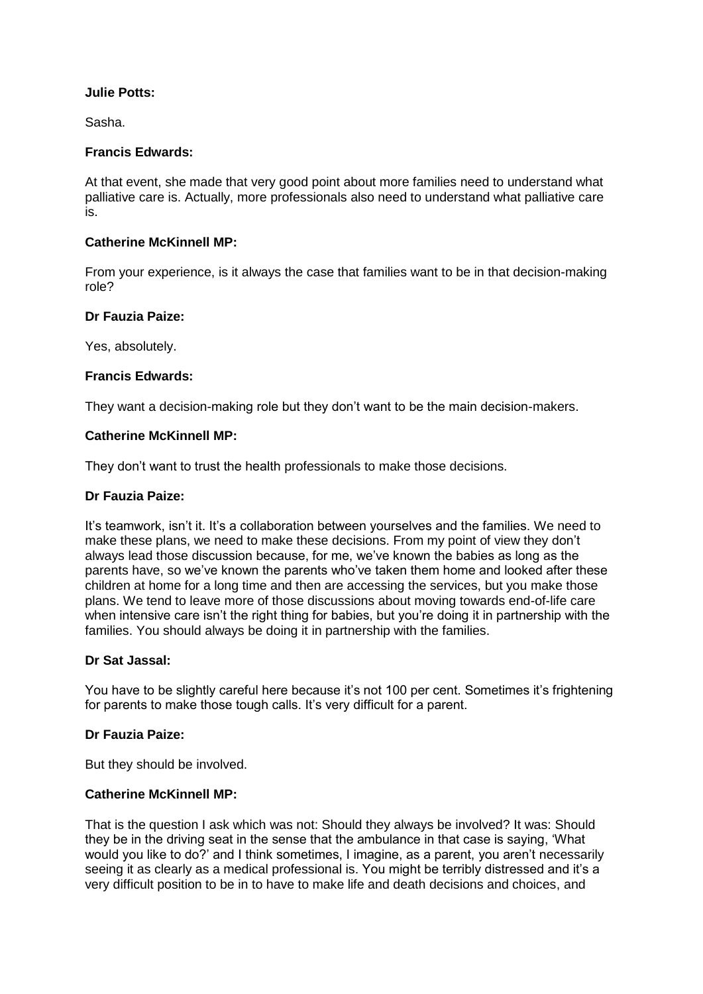## **Julie Potts:**

Sasha.

### **Francis Edwards:**

At that event, she made that very good point about more families need to understand what palliative care is. Actually, more professionals also need to understand what palliative care is.

### **Catherine McKinnell MP:**

From your experience, is it always the case that families want to be in that decision-making role?

### **Dr Fauzia Paize:**

Yes, absolutely.

### **Francis Edwards:**

They want a decision-making role but they don't want to be the main decision-makers.

### **Catherine McKinnell MP:**

They don't want to trust the health professionals to make those decisions.

### **Dr Fauzia Paize:**

It's teamwork, isn't it. It's a collaboration between yourselves and the families. We need to make these plans, we need to make these decisions. From my point of view they don't always lead those discussion because, for me, we've known the babies as long as the parents have, so we've known the parents who've taken them home and looked after these children at home for a long time and then are accessing the services, but you make those plans. We tend to leave more of those discussions about moving towards end-of-life care when intensive care isn't the right thing for babies, but you're doing it in partnership with the families. You should always be doing it in partnership with the families.

## **Dr Sat Jassal:**

You have to be slightly careful here because it's not 100 per cent. Sometimes it's frightening for parents to make those tough calls. It's very difficult for a parent.

## **Dr Fauzia Paize:**

But they should be involved.

### **Catherine McKinnell MP:**

That is the question I ask which was not: Should they always be involved? It was: Should they be in the driving seat in the sense that the ambulance in that case is saying, 'What would you like to do?' and I think sometimes, I imagine, as a parent, you aren't necessarily seeing it as clearly as a medical professional is. You might be terribly distressed and it's a very difficult position to be in to have to make life and death decisions and choices, and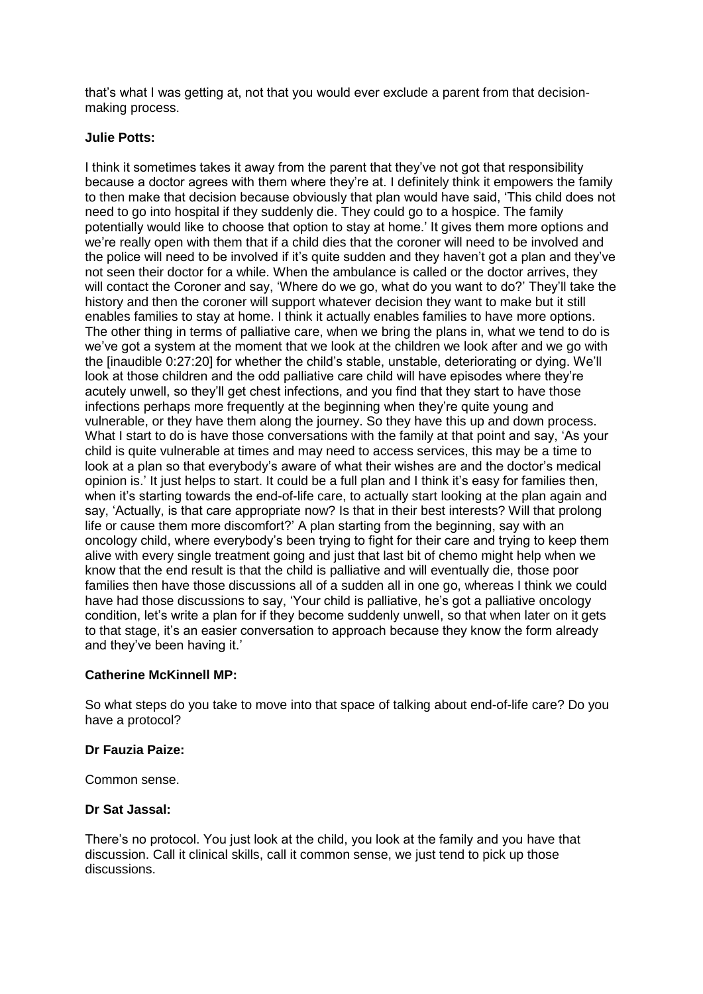that's what I was getting at, not that you would ever exclude a parent from that decisionmaking process.

### **Julie Potts:**

I think it sometimes takes it away from the parent that they've not got that responsibility because a doctor agrees with them where they're at. I definitely think it empowers the family to then make that decision because obviously that plan would have said, 'This child does not need to go into hospital if they suddenly die. They could go to a hospice. The family potentially would like to choose that option to stay at home.' It gives them more options and we're really open with them that if a child dies that the coroner will need to be involved and the police will need to be involved if it's quite sudden and they haven't got a plan and they've not seen their doctor for a while. When the ambulance is called or the doctor arrives, they will contact the Coroner and say, 'Where do we go, what do you want to do?' They'll take the history and then the coroner will support whatever decision they want to make but it still enables families to stay at home. I think it actually enables families to have more options. The other thing in terms of palliative care, when we bring the plans in, what we tend to do is we've got a system at the moment that we look at the children we look after and we go with the [inaudible 0:27:20] for whether the child's stable, unstable, deteriorating or dying. We'll look at those children and the odd palliative care child will have episodes where they're acutely unwell, so they'll get chest infections, and you find that they start to have those infections perhaps more frequently at the beginning when they're quite young and vulnerable, or they have them along the journey. So they have this up and down process. What I start to do is have those conversations with the family at that point and say, 'As your child is quite vulnerable at times and may need to access services, this may be a time to look at a plan so that everybody's aware of what their wishes are and the doctor's medical opinion is.' It just helps to start. It could be a full plan and I think it's easy for families then, when it's starting towards the end-of-life care, to actually start looking at the plan again and say, 'Actually, is that care appropriate now? Is that in their best interests? Will that prolong life or cause them more discomfort?' A plan starting from the beginning, say with an oncology child, where everybody's been trying to fight for their care and trying to keep them alive with every single treatment going and just that last bit of chemo might help when we know that the end result is that the child is palliative and will eventually die, those poor families then have those discussions all of a sudden all in one go, whereas I think we could have had those discussions to say, 'Your child is palliative, he's got a palliative oncology condition, let's write a plan for if they become suddenly unwell, so that when later on it gets to that stage, it's an easier conversation to approach because they know the form already and they've been having it.'

## **Catherine McKinnell MP:**

So what steps do you take to move into that space of talking about end-of-life care? Do you have a protocol?

## **Dr Fauzia Paize:**

Common sense.

## **Dr Sat Jassal:**

There's no protocol. You just look at the child, you look at the family and you have that discussion. Call it clinical skills, call it common sense, we just tend to pick up those discussions.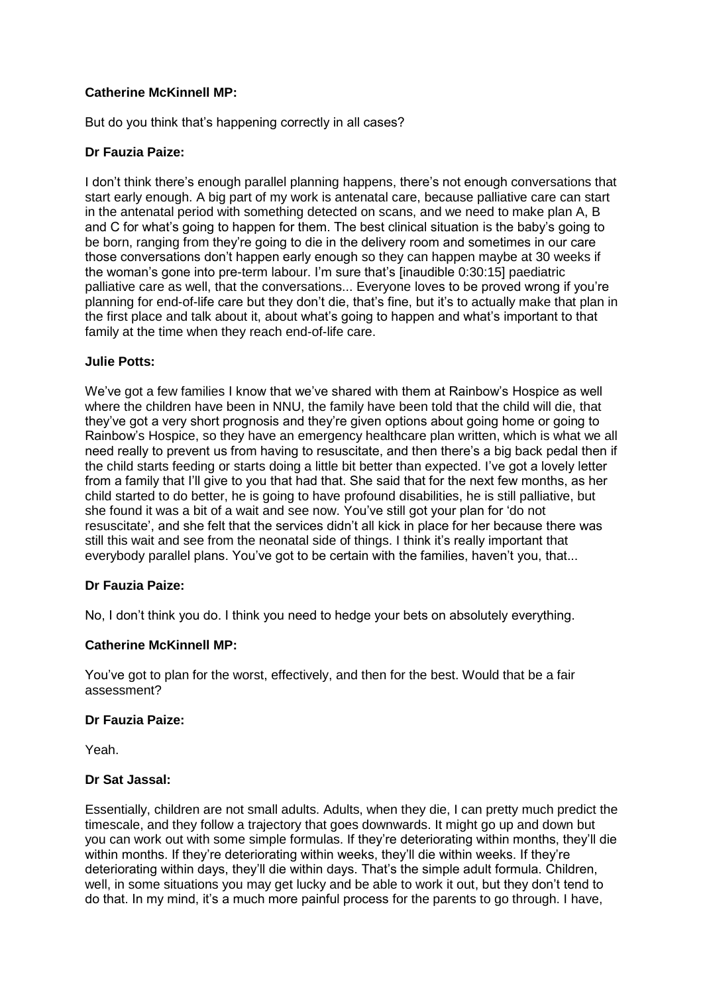But do you think that's happening correctly in all cases?

# **Dr Fauzia Paize:**

I don't think there's enough parallel planning happens, there's not enough conversations that start early enough. A big part of my work is antenatal care, because palliative care can start in the antenatal period with something detected on scans, and we need to make plan A, B and C for what's going to happen for them. The best clinical situation is the baby's going to be born, ranging from they're going to die in the delivery room and sometimes in our care those conversations don't happen early enough so they can happen maybe at 30 weeks if the woman's gone into pre-term labour. I'm sure that's [inaudible 0:30:15] paediatric palliative care as well, that the conversations... Everyone loves to be proved wrong if you're planning for end-of-life care but they don't die, that's fine, but it's to actually make that plan in the first place and talk about it, about what's going to happen and what's important to that family at the time when they reach end-of-life care.

## **Julie Potts:**

We've got a few families I know that we've shared with them at Rainbow's Hospice as well where the children have been in NNU, the family have been told that the child will die, that they've got a very short prognosis and they're given options about going home or going to Rainbow's Hospice, so they have an emergency healthcare plan written, which is what we all need really to prevent us from having to resuscitate, and then there's a big back pedal then if the child starts feeding or starts doing a little bit better than expected. I've got a lovely letter from a family that I'll give to you that had that. She said that for the next few months, as her child started to do better, he is going to have profound disabilities, he is still palliative, but she found it was a bit of a wait and see now. You've still got your plan for 'do not resuscitate', and she felt that the services didn't all kick in place for her because there was still this wait and see from the neonatal side of things. I think it's really important that everybody parallel plans. You've got to be certain with the families, haven't you, that...

## **Dr Fauzia Paize:**

No, I don't think you do. I think you need to hedge your bets on absolutely everything.

## **Catherine McKinnell MP:**

You've got to plan for the worst, effectively, and then for the best. Would that be a fair assessment?

#### **Dr Fauzia Paize:**

Yeah.

#### **Dr Sat Jassal:**

Essentially, children are not small adults. Adults, when they die, I can pretty much predict the timescale, and they follow a trajectory that goes downwards. It might go up and down but you can work out with some simple formulas. If they're deteriorating within months, they'll die within months. If they're deteriorating within weeks, they'll die within weeks. If they're deteriorating within days, they'll die within days. That's the simple adult formula. Children, well, in some situations you may get lucky and be able to work it out, but they don't tend to do that. In my mind, it's a much more painful process for the parents to go through. I have,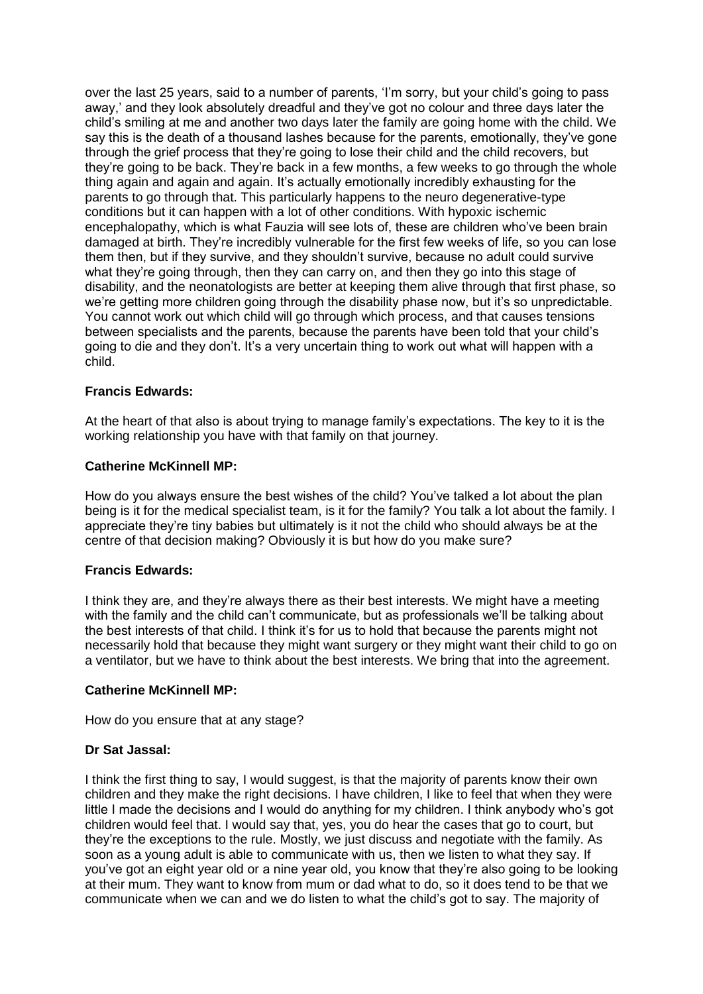over the last 25 years, said to a number of parents, 'I'm sorry, but your child's going to pass away,' and they look absolutely dreadful and they've got no colour and three days later the child's smiling at me and another two days later the family are going home with the child. We say this is the death of a thousand lashes because for the parents, emotionally, they've gone through the grief process that they're going to lose their child and the child recovers, but they're going to be back. They're back in a few months, a few weeks to go through the whole thing again and again and again. It's actually emotionally incredibly exhausting for the parents to go through that. This particularly happens to the neuro degenerative-type conditions but it can happen with a lot of other conditions. With hypoxic ischemic encephalopathy, which is what Fauzia will see lots of, these are children who've been brain damaged at birth. They're incredibly vulnerable for the first few weeks of life, so you can lose them then, but if they survive, and they shouldn't survive, because no adult could survive what they're going through, then they can carry on, and then they go into this stage of disability, and the neonatologists are better at keeping them alive through that first phase, so we're getting more children going through the disability phase now, but it's so unpredictable. You cannot work out which child will go through which process, and that causes tensions between specialists and the parents, because the parents have been told that your child's going to die and they don't. It's a very uncertain thing to work out what will happen with a child.

## **Francis Edwards:**

At the heart of that also is about trying to manage family's expectations. The key to it is the working relationship you have with that family on that journey.

### **Catherine McKinnell MP:**

How do you always ensure the best wishes of the child? You've talked a lot about the plan being is it for the medical specialist team, is it for the family? You talk a lot about the family. I appreciate they're tiny babies but ultimately is it not the child who should always be at the centre of that decision making? Obviously it is but how do you make sure?

#### **Francis Edwards:**

I think they are, and they're always there as their best interests. We might have a meeting with the family and the child can't communicate, but as professionals we'll be talking about the best interests of that child. I think it's for us to hold that because the parents might not necessarily hold that because they might want surgery or they might want their child to go on a ventilator, but we have to think about the best interests. We bring that into the agreement.

#### **Catherine McKinnell MP:**

How do you ensure that at any stage?

## **Dr Sat Jassal:**

I think the first thing to say, I would suggest, is that the majority of parents know their own children and they make the right decisions. I have children, I like to feel that when they were little I made the decisions and I would do anything for my children. I think anybody who's got children would feel that. I would say that, yes, you do hear the cases that go to court, but they're the exceptions to the rule. Mostly, we just discuss and negotiate with the family. As soon as a young adult is able to communicate with us, then we listen to what they say. If you've got an eight year old or a nine year old, you know that they're also going to be looking at their mum. They want to know from mum or dad what to do, so it does tend to be that we communicate when we can and we do listen to what the child's got to say. The majority of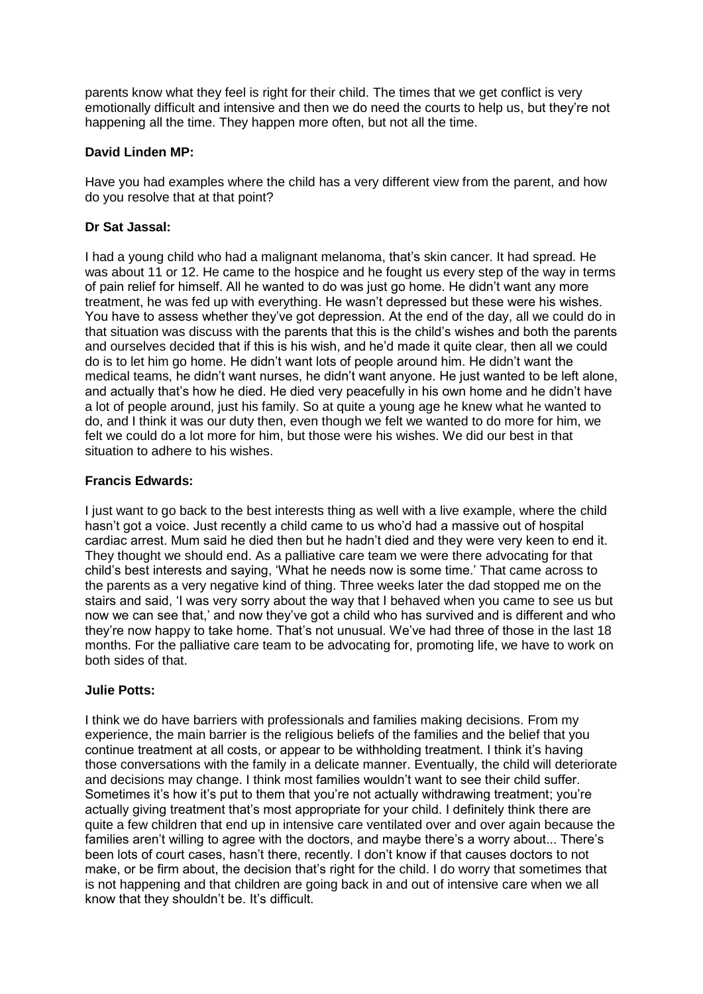parents know what they feel is right for their child. The times that we get conflict is very emotionally difficult and intensive and then we do need the courts to help us, but they're not happening all the time. They happen more often, but not all the time.

## **David Linden MP:**

Have you had examples where the child has a very different view from the parent, and how do you resolve that at that point?

# **Dr Sat Jassal:**

I had a young child who had a malignant melanoma, that's skin cancer. It had spread. He was about 11 or 12. He came to the hospice and he fought us every step of the way in terms of pain relief for himself. All he wanted to do was just go home. He didn't want any more treatment, he was fed up with everything. He wasn't depressed but these were his wishes. You have to assess whether they've got depression. At the end of the day, all we could do in that situation was discuss with the parents that this is the child's wishes and both the parents and ourselves decided that if this is his wish, and he'd made it quite clear, then all we could do is to let him go home. He didn't want lots of people around him. He didn't want the medical teams, he didn't want nurses, he didn't want anyone. He just wanted to be left alone, and actually that's how he died. He died very peacefully in his own home and he didn't have a lot of people around, just his family. So at quite a young age he knew what he wanted to do, and I think it was our duty then, even though we felt we wanted to do more for him, we felt we could do a lot more for him, but those were his wishes. We did our best in that situation to adhere to his wishes.

## **Francis Edwards:**

I just want to go back to the best interests thing as well with a live example, where the child hasn't got a voice. Just recently a child came to us who'd had a massive out of hospital cardiac arrest. Mum said he died then but he hadn't died and they were very keen to end it. They thought we should end. As a palliative care team we were there advocating for that child's best interests and saying, 'What he needs now is some time.' That came across to the parents as a very negative kind of thing. Three weeks later the dad stopped me on the stairs and said, 'I was very sorry about the way that I behaved when you came to see us but now we can see that,' and now they've got a child who has survived and is different and who they're now happy to take home. That's not unusual. We've had three of those in the last 18 months. For the palliative care team to be advocating for, promoting life, we have to work on both sides of that.

## **Julie Potts:**

I think we do have barriers with professionals and families making decisions. From my experience, the main barrier is the religious beliefs of the families and the belief that you continue treatment at all costs, or appear to be withholding treatment. I think it's having those conversations with the family in a delicate manner. Eventually, the child will deteriorate and decisions may change. I think most families wouldn't want to see their child suffer. Sometimes it's how it's put to them that you're not actually withdrawing treatment; you're actually giving treatment that's most appropriate for your child. I definitely think there are quite a few children that end up in intensive care ventilated over and over again because the families aren't willing to agree with the doctors, and maybe there's a worry about... There's been lots of court cases, hasn't there, recently. I don't know if that causes doctors to not make, or be firm about, the decision that's right for the child. I do worry that sometimes that is not happening and that children are going back in and out of intensive care when we all know that they shouldn't be. It's difficult.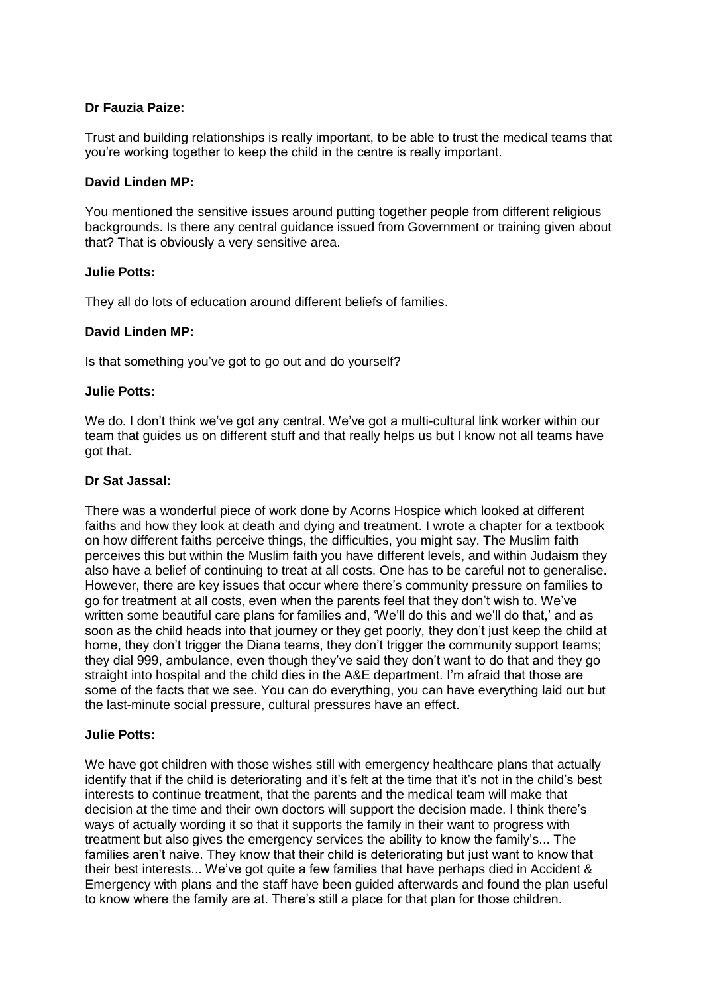# **Dr Fauzia Paize:**

Trust and building relationships is really important, to be able to trust the medical teams that you're working together to keep the child in the centre is really important.

### **David Linden MP:**

You mentioned the sensitive issues around putting together people from different religious backgrounds. Is there any central guidance issued from Government or training given about that? That is obviously a very sensitive area.

### **Julie Potts:**

They all do lots of education around different beliefs of families.

### **David Linden MP:**

Is that something you've got to go out and do yourself?

### **Julie Potts:**

We do. I don't think we've got any central. We've got a multi-cultural link worker within our team that guides us on different stuff and that really helps us but I know not all teams have got that.

### **Dr Sat Jassal:**

There was a wonderful piece of work done by Acorns Hospice which looked at different faiths and how they look at death and dying and treatment. I wrote a chapter for a textbook on how different faiths perceive things, the difficulties, you might say. The Muslim faith perceives this but within the Muslim faith you have different levels, and within Judaism they also have a belief of continuing to treat at all costs. One has to be careful not to generalise. However, there are key issues that occur where there's community pressure on families to go for treatment at all costs, even when the parents feel that they don't wish to. We've written some beautiful care plans for families and, 'We'll do this and we'll do that,' and as soon as the child heads into that journey or they get poorly, they don't just keep the child at home, they don't trigger the Diana teams, they don't trigger the community support teams; they dial 999, ambulance, even though they've said they don't want to do that and they go straight into hospital and the child dies in the A&E department. I'm afraid that those are some of the facts that we see. You can do everything, you can have everything laid out but the last-minute social pressure, cultural pressures have an effect.

#### **Julie Potts:**

We have got children with those wishes still with emergency healthcare plans that actually identify that if the child is deteriorating and it's felt at the time that it's not in the child's best interests to continue treatment, that the parents and the medical team will make that decision at the time and their own doctors will support the decision made. I think there's ways of actually wording it so that it supports the family in their want to progress with treatment but also gives the emergency services the ability to know the family's... The families aren't naive. They know that their child is deteriorating but just want to know that their best interests... We've got quite a few families that have perhaps died in Accident & Emergency with plans and the staff have been guided afterwards and found the plan useful to know where the family are at. There's still a place for that plan for those children.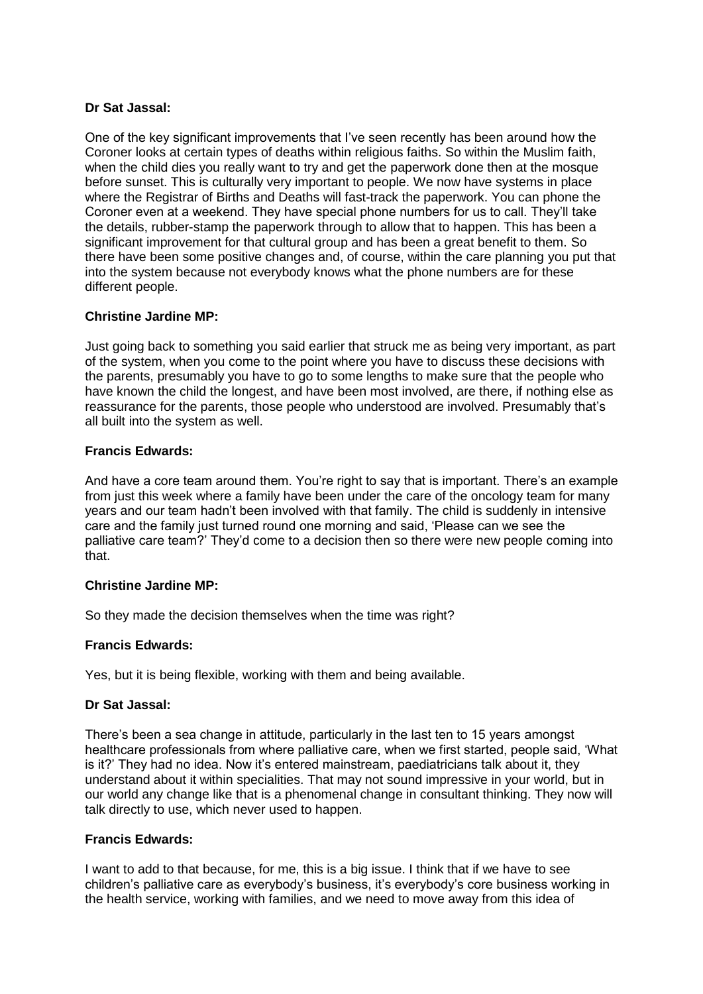# **Dr Sat Jassal:**

One of the key significant improvements that I've seen recently has been around how the Coroner looks at certain types of deaths within religious faiths. So within the Muslim faith, when the child dies you really want to try and get the paperwork done then at the mosque before sunset. This is culturally very important to people. We now have systems in place where the Registrar of Births and Deaths will fast-track the paperwork. You can phone the Coroner even at a weekend. They have special phone numbers for us to call. They'll take the details, rubber-stamp the paperwork through to allow that to happen. This has been a significant improvement for that cultural group and has been a great benefit to them. So there have been some positive changes and, of course, within the care planning you put that into the system because not everybody knows what the phone numbers are for these different people.

## **Christine Jardine MP:**

Just going back to something you said earlier that struck me as being very important, as part of the system, when you come to the point where you have to discuss these decisions with the parents, presumably you have to go to some lengths to make sure that the people who have known the child the longest, and have been most involved, are there, if nothing else as reassurance for the parents, those people who understood are involved. Presumably that's all built into the system as well.

### **Francis Edwards:**

And have a core team around them. You're right to say that is important. There's an example from just this week where a family have been under the care of the oncology team for many years and our team hadn't been involved with that family. The child is suddenly in intensive care and the family just turned round one morning and said, 'Please can we see the palliative care team?' They'd come to a decision then so there were new people coming into that.

#### **Christine Jardine MP:**

So they made the decision themselves when the time was right?

## **Francis Edwards:**

Yes, but it is being flexible, working with them and being available.

## **Dr Sat Jassal:**

There's been a sea change in attitude, particularly in the last ten to 15 years amongst healthcare professionals from where palliative care, when we first started, people said, 'What is it?' They had no idea. Now it's entered mainstream, paediatricians talk about it, they understand about it within specialities. That may not sound impressive in your world, but in our world any change like that is a phenomenal change in consultant thinking. They now will talk directly to use, which never used to happen.

## **Francis Edwards:**

I want to add to that because, for me, this is a big issue. I think that if we have to see children's palliative care as everybody's business, it's everybody's core business working in the health service, working with families, and we need to move away from this idea of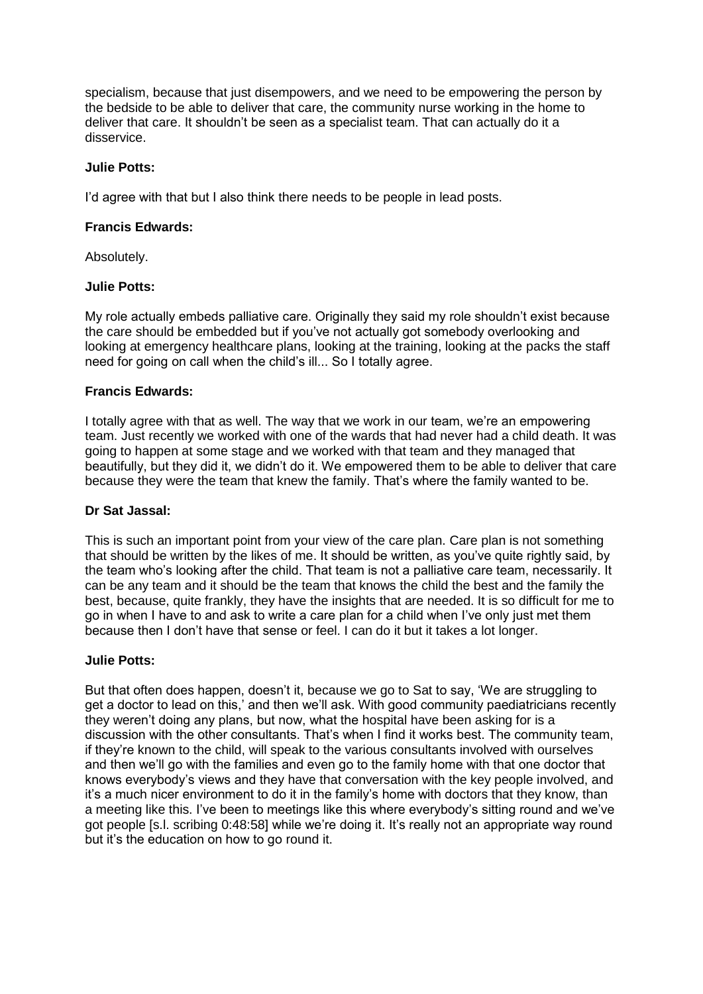specialism, because that just disempowers, and we need to be empowering the person by the bedside to be able to deliver that care, the community nurse working in the home to deliver that care. It shouldn't be seen as a specialist team. That can actually do it a disservice.

### **Julie Potts:**

I'd agree with that but I also think there needs to be people in lead posts.

### **Francis Edwards:**

Absolutely.

### **Julie Potts:**

My role actually embeds palliative care. Originally they said my role shouldn't exist because the care should be embedded but if you've not actually got somebody overlooking and looking at emergency healthcare plans, looking at the training, looking at the packs the staff need for going on call when the child's ill... So I totally agree.

## **Francis Edwards:**

I totally agree with that as well. The way that we work in our team, we're an empowering team. Just recently we worked with one of the wards that had never had a child death. It was going to happen at some stage and we worked with that team and they managed that beautifully, but they did it, we didn't do it. We empowered them to be able to deliver that care because they were the team that knew the family. That's where the family wanted to be.

#### **Dr Sat Jassal:**

This is such an important point from your view of the care plan. Care plan is not something that should be written by the likes of me. It should be written, as you've quite rightly said, by the team who's looking after the child. That team is not a palliative care team, necessarily. It can be any team and it should be the team that knows the child the best and the family the best, because, quite frankly, they have the insights that are needed. It is so difficult for me to go in when I have to and ask to write a care plan for a child when I've only just met them because then I don't have that sense or feel. I can do it but it takes a lot longer.

## **Julie Potts:**

But that often does happen, doesn't it, because we go to Sat to say, 'We are struggling to get a doctor to lead on this,' and then we'll ask. With good community paediatricians recently they weren't doing any plans, but now, what the hospital have been asking for is a discussion with the other consultants. That's when I find it works best. The community team, if they're known to the child, will speak to the various consultants involved with ourselves and then we'll go with the families and even go to the family home with that one doctor that knows everybody's views and they have that conversation with the key people involved, and it's a much nicer environment to do it in the family's home with doctors that they know, than a meeting like this. I've been to meetings like this where everybody's sitting round and we've got people [s.l. scribing 0:48:58] while we're doing it. It's really not an appropriate way round but it's the education on how to go round it.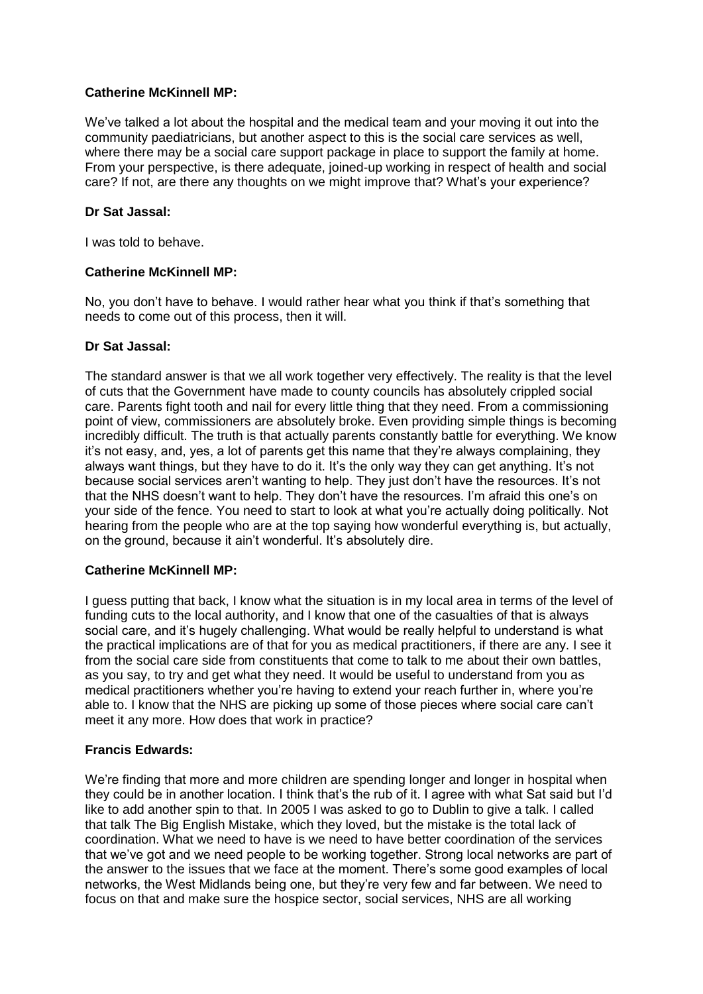We've talked a lot about the hospital and the medical team and your moving it out into the community paediatricians, but another aspect to this is the social care services as well, where there may be a social care support package in place to support the family at home. From your perspective, is there adequate, joined-up working in respect of health and social care? If not, are there any thoughts on we might improve that? What's your experience?

### **Dr Sat Jassal:**

I was told to behave.

### **Catherine McKinnell MP:**

No, you don't have to behave. I would rather hear what you think if that's something that needs to come out of this process, then it will.

### **Dr Sat Jassal:**

The standard answer is that we all work together very effectively. The reality is that the level of cuts that the Government have made to county councils has absolutely crippled social care. Parents fight tooth and nail for every little thing that they need. From a commissioning point of view, commissioners are absolutely broke. Even providing simple things is becoming incredibly difficult. The truth is that actually parents constantly battle for everything. We know it's not easy, and, yes, a lot of parents get this name that they're always complaining, they always want things, but they have to do it. It's the only way they can get anything. It's not because social services aren't wanting to help. They just don't have the resources. It's not that the NHS doesn't want to help. They don't have the resources. I'm afraid this one's on your side of the fence. You need to start to look at what you're actually doing politically. Not hearing from the people who are at the top saying how wonderful everything is, but actually, on the ground, because it ain't wonderful. It's absolutely dire.

## **Catherine McKinnell MP:**

I guess putting that back, I know what the situation is in my local area in terms of the level of funding cuts to the local authority, and I know that one of the casualties of that is always social care, and it's hugely challenging. What would be really helpful to understand is what the practical implications are of that for you as medical practitioners, if there are any. I see it from the social care side from constituents that come to talk to me about their own battles, as you say, to try and get what they need. It would be useful to understand from you as medical practitioners whether you're having to extend your reach further in, where you're able to. I know that the NHS are picking up some of those pieces where social care can't meet it any more. How does that work in practice?

## **Francis Edwards:**

We're finding that more and more children are spending longer and longer in hospital when they could be in another location. I think that's the rub of it. I agree with what Sat said but I'd like to add another spin to that. In 2005 I was asked to go to Dublin to give a talk. I called that talk The Big English Mistake, which they loved, but the mistake is the total lack of coordination. What we need to have is we need to have better coordination of the services that we've got and we need people to be working together. Strong local networks are part of the answer to the issues that we face at the moment. There's some good examples of local networks, the West Midlands being one, but they're very few and far between. We need to focus on that and make sure the hospice sector, social services, NHS are all working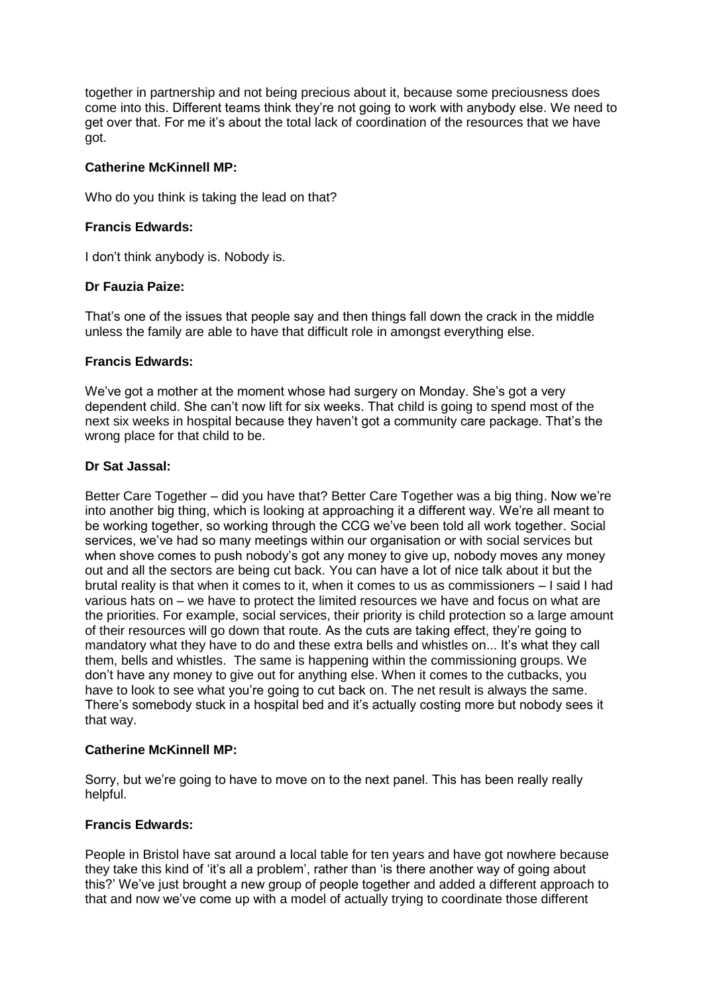together in partnership and not being precious about it, because some preciousness does come into this. Different teams think they're not going to work with anybody else. We need to get over that. For me it's about the total lack of coordination of the resources that we have got.

## **Catherine McKinnell MP:**

Who do you think is taking the lead on that?

### **Francis Edwards:**

I don't think anybody is. Nobody is.

## **Dr Fauzia Paize:**

That's one of the issues that people say and then things fall down the crack in the middle unless the family are able to have that difficult role in amongst everything else.

### **Francis Edwards:**

We've got a mother at the moment whose had surgery on Monday. She's got a very dependent child. She can't now lift for six weeks. That child is going to spend most of the next six weeks in hospital because they haven't got a community care package. That's the wrong place for that child to be.

### **Dr Sat Jassal:**

Better Care Together – did you have that? Better Care Together was a big thing. Now we're into another big thing, which is looking at approaching it a different way. We're all meant to be working together, so working through the CCG we've been told all work together. Social services, we've had so many meetings within our organisation or with social services but when shove comes to push nobody's got any money to give up, nobody moves any money out and all the sectors are being cut back. You can have a lot of nice talk about it but the brutal reality is that when it comes to it, when it comes to us as commissioners – I said I had various hats on – we have to protect the limited resources we have and focus on what are the priorities. For example, social services, their priority is child protection so a large amount of their resources will go down that route. As the cuts are taking effect, they're going to mandatory what they have to do and these extra bells and whistles on... It's what they call them, bells and whistles. The same is happening within the commissioning groups. We don't have any money to give out for anything else. When it comes to the cutbacks, you have to look to see what you're going to cut back on. The net result is always the same. There's somebody stuck in a hospital bed and it's actually costing more but nobody sees it that way.

#### **Catherine McKinnell MP:**

Sorry, but we're going to have to move on to the next panel. This has been really really helpful.

## **Francis Edwards:**

People in Bristol have sat around a local table for ten years and have got nowhere because they take this kind of 'it's all a problem', rather than 'is there another way of going about this?' We've just brought a new group of people together and added a different approach to that and now we've come up with a model of actually trying to coordinate those different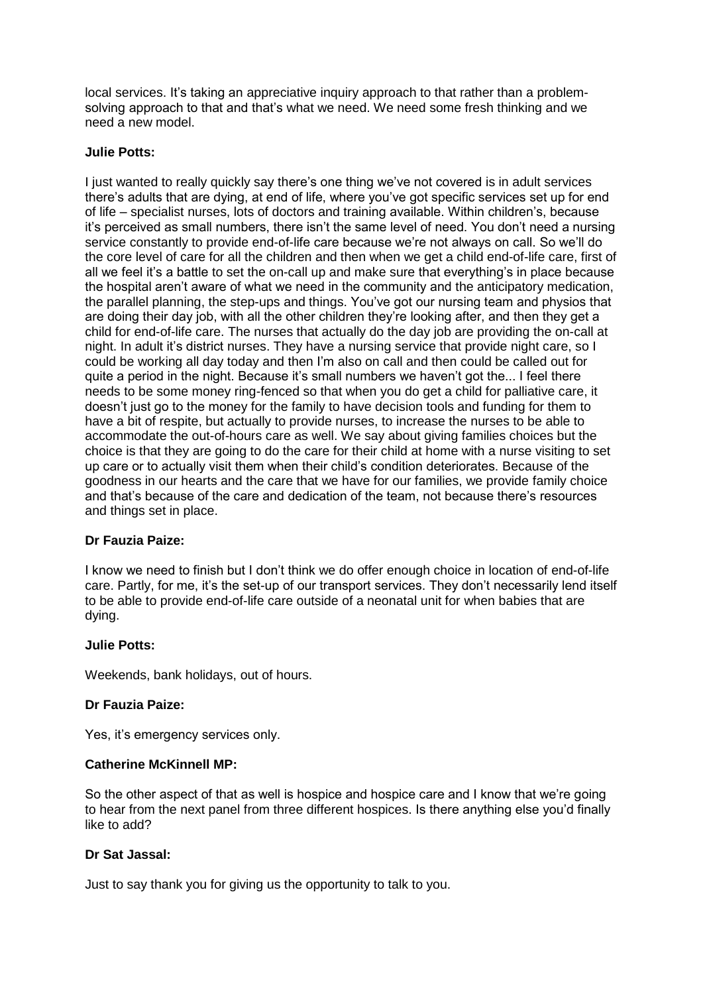local services. It's taking an appreciative inquiry approach to that rather than a problemsolving approach to that and that's what we need. We need some fresh thinking and we need a new model.

### **Julie Potts:**

I just wanted to really quickly say there's one thing we've not covered is in adult services there's adults that are dying, at end of life, where you've got specific services set up for end of life – specialist nurses, lots of doctors and training available. Within children's, because it's perceived as small numbers, there isn't the same level of need. You don't need a nursing service constantly to provide end-of-life care because we're not always on call. So we'll do the core level of care for all the children and then when we get a child end-of-life care, first of all we feel it's a battle to set the on-call up and make sure that everything's in place because the hospital aren't aware of what we need in the community and the anticipatory medication, the parallel planning, the step-ups and things. You've got our nursing team and physios that are doing their day job, with all the other children they're looking after, and then they get a child for end-of-life care. The nurses that actually do the day job are providing the on-call at night. In adult it's district nurses. They have a nursing service that provide night care, so I could be working all day today and then I'm also on call and then could be called out for quite a period in the night. Because it's small numbers we haven't got the... I feel there needs to be some money ring-fenced so that when you do get a child for palliative care, it doesn't just go to the money for the family to have decision tools and funding for them to have a bit of respite, but actually to provide nurses, to increase the nurses to be able to accommodate the out-of-hours care as well. We say about giving families choices but the choice is that they are going to do the care for their child at home with a nurse visiting to set up care or to actually visit them when their child's condition deteriorates. Because of the goodness in our hearts and the care that we have for our families, we provide family choice and that's because of the care and dedication of the team, not because there's resources and things set in place.

## **Dr Fauzia Paize:**

I know we need to finish but I don't think we do offer enough choice in location of end-of-life care. Partly, for me, it's the set-up of our transport services. They don't necessarily lend itself to be able to provide end-of-life care outside of a neonatal unit for when babies that are dying.

## **Julie Potts:**

Weekends, bank holidays, out of hours.

## **Dr Fauzia Paize:**

Yes, it's emergency services only.

## **Catherine McKinnell MP:**

So the other aspect of that as well is hospice and hospice care and I know that we're going to hear from the next panel from three different hospices. Is there anything else you'd finally like to add?

### **Dr Sat Jassal:**

Just to say thank you for giving us the opportunity to talk to you.